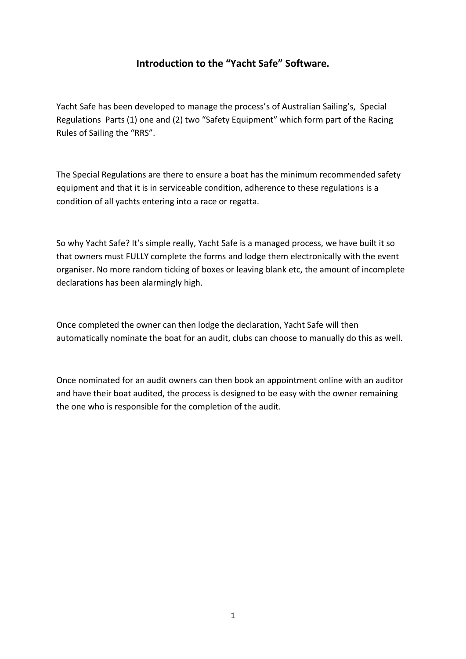# **Introduction to the "Yacht Safe" Software.**

Yacht Safe has been developed to manage the process's of Australian Sailing's, Special Regulations Parts (1) one and (2) two "Safety Equipment" which form part of the Racing Rules of Sailing the "RRS".

The Special Regulations are there to ensure a boat has the minimum recommended safety equipment and that it is in serviceable condition, adherence to these regulations is a condition of all yachts entering into a race or regatta.

So why Yacht Safe? It's simple really, Yacht Safe is a managed process, we have built it so that owners must FULLY complete the forms and lodge them electronically with the event organiser. No more random ticking of boxes or leaving blank etc, the amount of incomplete declarations has been alarmingly high.

Once completed the owner can then lodge the declaration, Yacht Safe will then automatically nominate the boat for an audit, clubs can choose to manually do this as well.

Once nominated for an audit owners can then book an appointment online with an auditor and have their boat audited, the process is designed to be easy with the owner remaining the one who is responsible for the completion of the audit.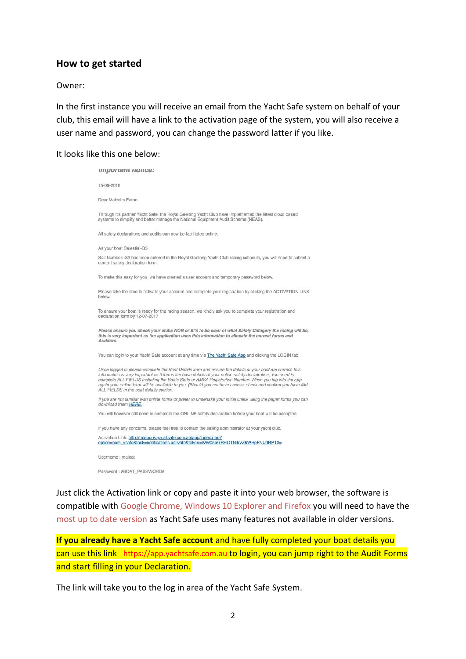## **How to get started**

Owner:

In the first instance you will receive an email from the Yacht Safe system on behalf of your club, this email will have a link to the activation page of the system, you will also receive a user name and password, you can change the password latter if you like.

It looks like this one below:

| <i><b>Important notice:</b></i>  |                                                                                                                                                                                                                                                                                                                                                                                                                                                                                               |
|----------------------------------|-----------------------------------------------------------------------------------------------------------------------------------------------------------------------------------------------------------------------------------------------------------------------------------------------------------------------------------------------------------------------------------------------------------------------------------------------------------------------------------------------|
| 15-09-2016                       |                                                                                                                                                                                                                                                                                                                                                                                                                                                                                               |
| Dear Malcolm Eaton               |                                                                                                                                                                                                                                                                                                                                                                                                                                                                                               |
|                                  | Through it's partner Yacht Safe, the Royal Geelong Yacht Club have implemented the latest cloud based<br>systems to simplify and better manage the National Equipment Audit Scheme (NEAS).                                                                                                                                                                                                                                                                                                    |
|                                  | All safety declarations and audits can now be facilitated online.                                                                                                                                                                                                                                                                                                                                                                                                                             |
| As your boat Celestial-G3        |                                                                                                                                                                                                                                                                                                                                                                                                                                                                                               |
| current safety declaration form. | Sail Number: G3 has been entered in the Royal Geelong Yacht Club racing schedule, you will need to submit a                                                                                                                                                                                                                                                                                                                                                                                   |
|                                  | To make this easy for you, we have created a user account and temporary password below.                                                                                                                                                                                                                                                                                                                                                                                                       |
| below.                           | Please take the time to activate your account and complete your registration by clicking the ACTIVATION LINK                                                                                                                                                                                                                                                                                                                                                                                  |
| declaration form by 12-07-2017   | To ensure your boat is ready for the racing season, we kindly ask you to complete your registration and                                                                                                                                                                                                                                                                                                                                                                                       |
| Auditors.                        | Please ensure you check your clubs NOR or Si's to be clear of what Safety Catagory the racing will be,<br>this is very important as the application uses this information to allocate the correct forms and                                                                                                                                                                                                                                                                                   |
|                                  | You can login to your Yacht Safe account at any time via The Yacht Safe App and clicking the LOGIN tab.                                                                                                                                                                                                                                                                                                                                                                                       |
|                                  | Once logged in please complete the Boat Details form and ensure the details of your boat are correct, this<br>information is very important as it forms the base details of your online safety declatration, You need to<br>complete ALL FIELDS including the Boats State or AMSA Registration Number. When you log into the app<br>again your online form will be available to you. (Should you not have access, check and confirm you have filld<br>ALL FIELDS in the boat details section. |
| download them HERE.              | If you are not familiar with online forms or prefer to undertake your initial check using the paper forms you can                                                                                                                                                                                                                                                                                                                                                                             |
|                                  | You will however still need to complete the ONLINE safety declaration before your boat will be accepted.                                                                                                                                                                                                                                                                                                                                                                                      |
|                                  | If you have any concerns, please feel free to contact the sailing administrator at your yacht club.                                                                                                                                                                                                                                                                                                                                                                                           |
|                                  | Activation Link: http://rulebook.yachtsafe.com.au/app/index.php?<br>option=com_vsafe&task=notifications.activate&token=WW05aGRHOTNibVZ5WHpFNU9RPT0=                                                                                                                                                                                                                                                                                                                                           |
| Username : maleat                |                                                                                                                                                                                                                                                                                                                                                                                                                                                                                               |
| Password: #BOAT_PASSWORD#        |                                                                                                                                                                                                                                                                                                                                                                                                                                                                                               |

Just click the Activation link or copy and paste it into your web browser, the software is compatible with Google Chrome, Windows 10 Explorer and Firefox you will need to have the most up to date version as Yacht Safe uses many features not available in older versions.

**If you already have a Yacht Safe account** and have fully completed your boat details you can use this link https://app.yachtsafe.com.au to login, you can jump right to the Audit Forms and start filling in your Declaration.

The link will take you to the log in area of the Yacht Safe System.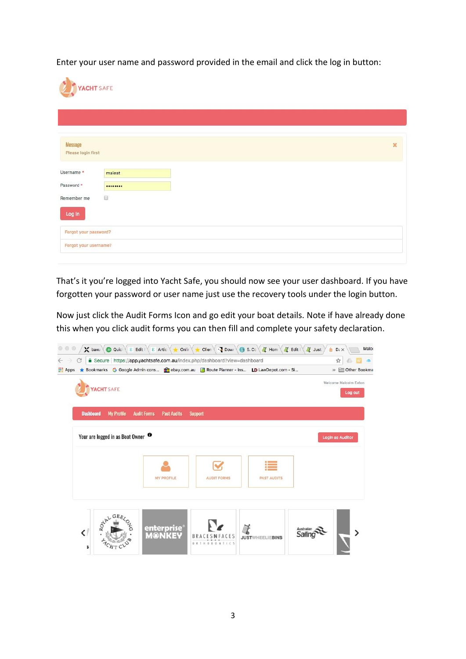Enter your user name and password provided in the email and click the log in button:

| YACHT SAFE            |         |  |              |
|-----------------------|---------|--|--------------|
| Message               |         |  | $\mathbf{x}$ |
| Please login first    |         |  |              |
| Username ·            | maleat  |  |              |
| Password *            |         |  |              |
| Remember me<br>Log in | $\odot$ |  |              |
| Forgot your password? |         |  |              |
| Forgot your username? |         |  |              |

That's it you're logged into Yacht Safe, you should now see your user dashboard. If you have forgotten your password or user name just use the recovery tools under the login button.

Now just click the Audit Forms Icon and go edit your boat details. Note if have already done this when you click audit forms you can then fill and complete your safety declaration.

| <b>Dashboard</b><br><b>My Profile</b><br><b>Audit Forms</b><br><b>Past Audits</b><br><b>Support</b> |                         |
|-----------------------------------------------------------------------------------------------------|-------------------------|
|                                                                                                     |                         |
| Your are logged in as Boat Owner                                                                    | <b>Login as Auditor</b> |
|                                                                                                     |                         |
| <b>PAST AUDITS</b><br><b>MY PROFILE</b><br><b>AUDIT FORMS</b>                                       |                         |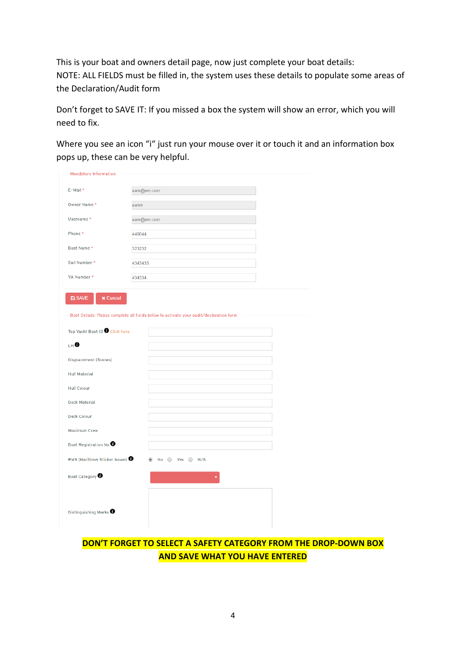This is your boat and owners detail page, now just complete your boat details: NOTE: ALL FIELDS must be filled in, the system uses these details to populate some areas of the Declaration/Audit form

Don't forget to SAVE IT: If you missed a box the system will show an error, which you will need to fix.

Where you see an icon "i" just run your mouse over it or touch it and an information box pops up, these can be very helpful.

| <b>Mandatory Information</b>               |                                                                                        |
|--------------------------------------------|----------------------------------------------------------------------------------------|
| E-Mail*                                    | aam@em.com                                                                             |
| Owner Name*                                | aamir                                                                                  |
| Username <sup>*</sup>                      | aam@em.com                                                                             |
| Phone *                                    | 440044                                                                                 |
| Boat Name*                                 | 323232                                                                                 |
| Sail Number *                              | 4343433                                                                                |
| YA Number *                                | 434334                                                                                 |
| <b>图 SAVE</b><br>$\times$ Cancel           |                                                                                        |
|                                            | Boat Details: Please complete all fields below to activate your audit/declaration form |
| Top Yacht Boat ID Click here               |                                                                                        |
| LH <sup>O</sup>                            |                                                                                        |
| Displacement (Tonnes)                      |                                                                                        |
| <b>Hull Material</b>                       |                                                                                        |
| <b>Hull Colour</b>                         |                                                                                        |
| <b>Deck Material</b>                       |                                                                                        |
| <b>Deck Colour</b>                         |                                                                                        |
| Maximum Crew                               |                                                                                        |
| Boat Registration No <sup>0</sup>          |                                                                                        |
| RMS (Maritime) Sticker Issued <sup>0</sup> | $\circledcirc$<br>No $\bigcirc$ Yes $\bigcirc$ N/A                                     |
| Boat Category <sup>O</sup>                 |                                                                                        |
|                                            |                                                                                        |
| Distinguishing Marks <sup>0</sup>          |                                                                                        |
|                                            |                                                                                        |
|                                            |                                                                                        |

# **DON'T FORGET TO SELECT A SAFETY CATEGORY FROM THE DROP-DOWN BOX AND SAVE WHAT YOU HAVE ENTERED**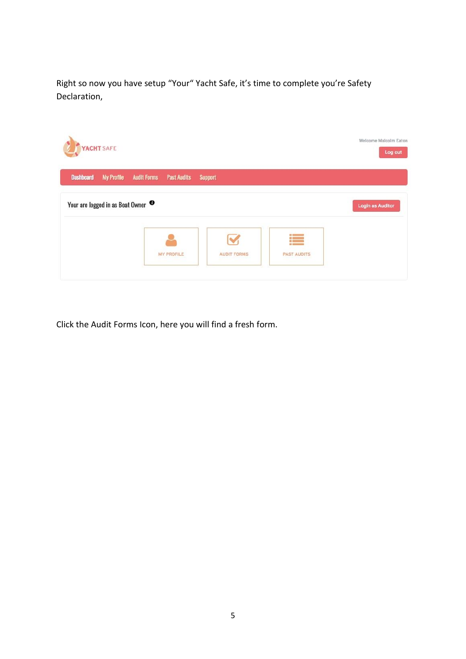Right so now you have setup "Your" Yacht Safe, it's time to complete you're Safety Declaration,



Click the Audit Forms Icon, here you will find a fresh form.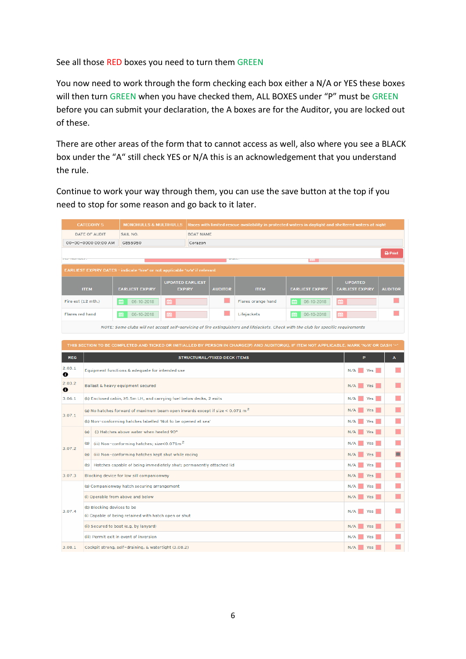See all those RED boxes you need to turn them GREEN

You now need to work through the form checking each box either a N/A or YES these boxes will then turn GREEN when you have checked them, ALL BOXES under "P" must be GREEN before you can submit your declaration, the A boxes are for the Auditor, you are locked out of these.

There are other areas of the form that to cannot access as well, also where you see a BLACK box under the "A" still check YES or N/A this is an acknowledgement that you understand the rule.

Continue to work your way through them, you can use the save button at the top if you need to stop for some reason and go back to it later.

|                                                                                                                                                                                                                                                                                                                                                                                                                                                                                                                                              | <b>CATEGORY 5</b>          | <b>MONOHULLS &amp; MULTIHULLS</b>                                           |                         |                  |                | Races with limited rescue availability in protected waters in daylight and sheltered waters at night                                 |                        |                        |                |
|----------------------------------------------------------------------------------------------------------------------------------------------------------------------------------------------------------------------------------------------------------------------------------------------------------------------------------------------------------------------------------------------------------------------------------------------------------------------------------------------------------------------------------------------|----------------------------|-----------------------------------------------------------------------------|-------------------------|------------------|----------------|--------------------------------------------------------------------------------------------------------------------------------------|------------------------|------------------------|----------------|
|                                                                                                                                                                                                                                                                                                                                                                                                                                                                                                                                              | DATE OF AUDIT              | SAIL NO.                                                                    |                         | <b>BOAT NAME</b> |                |                                                                                                                                      |                        |                        |                |
|                                                                                                                                                                                                                                                                                                                                                                                                                                                                                                                                              | 00-00-0000 00:00 AM        | G855950                                                                     |                         | Corazon          |                |                                                                                                                                      |                        |                        |                |
|                                                                                                                                                                                                                                                                                                                                                                                                                                                                                                                                              |                            |                                                                             |                         |                  |                |                                                                                                                                      |                        |                        | <b>A</b> Print |
| <b>Continental Continental Continents</b>                                                                                                                                                                                                                                                                                                                                                                                                                                                                                                    |                            |                                                                             |                         |                  |                |                                                                                                                                      | <b>EHR</b>             |                        |                |
|                                                                                                                                                                                                                                                                                                                                                                                                                                                                                                                                              |                            | EARLIEST EXPIRY DATES - indicate 'hire' or not applicable 'n/a' if relevant |                         |                  |                |                                                                                                                                      |                        |                        |                |
|                                                                                                                                                                                                                                                                                                                                                                                                                                                                                                                                              |                            |                                                                             | <b>UPDATED EARLIEST</b> |                  |                |                                                                                                                                      |                        | <b>UPDATED</b>         |                |
|                                                                                                                                                                                                                                                                                                                                                                                                                                                                                                                                              | <b>ITEM</b>                | <b>EARLIEST EXPIRY</b>                                                      | <b>EXPIRY</b>           |                  | <b>AUDITOR</b> | <b>ITEM</b>                                                                                                                          | <b>EARLIEST EXPIRY</b> | <b>EARLIEST EXPIRY</b> | <b>AUDITOR</b> |
|                                                                                                                                                                                                                                                                                                                                                                                                                                                                                                                                              | Fire ext (12 mth.)         | 06-10-2018<br>鯿                                                             |                         |                  |                | Flares orange hand                                                                                                                   | 06-10-2018<br>雦        | άň                     |                |
| <b>Flares red hand</b>                                                                                                                                                                                                                                                                                                                                                                                                                                                                                                                       |                            | 06-10-2018<br>龠                                                             |                         |                  |                | Lifejackets                                                                                                                          | 06-10-2018<br>酾        |                        |                |
|                                                                                                                                                                                                                                                                                                                                                                                                                                                                                                                                              |                            |                                                                             |                         |                  |                | NOTE: Some clubs will not accept self-servicing of fire extinguishers and lifejackets. Check with the club for specific requirements |                        |                        |                |
|                                                                                                                                                                                                                                                                                                                                                                                                                                                                                                                                              |                            |                                                                             |                         |                  |                |                                                                                                                                      |                        |                        |                |
|                                                                                                                                                                                                                                                                                                                                                                                                                                                                                                                                              |                            |                                                                             |                         |                  |                |                                                                                                                                      |                        |                        |                |
| <b>REG</b>                                                                                                                                                                                                                                                                                                                                                                                                                                                                                                                                   |                            |                                                                             |                         |                  |                |                                                                                                                                      |                        | P                      | A              |
| 2.03.1<br>➊                                                                                                                                                                                                                                                                                                                                                                                                                                                                                                                                  |                            |                                                                             |                         |                  |                |                                                                                                                                      |                        |                        |                |
| 2.03.2<br>➊                                                                                                                                                                                                                                                                                                                                                                                                                                                                                                                                  |                            |                                                                             |                         |                  |                |                                                                                                                                      |                        |                        |                |
| 3.06.1                                                                                                                                                                                                                                                                                                                                                                                                                                                                                                                                       |                            |                                                                             |                         |                  |                |                                                                                                                                      |                        |                        | ×              |
|                                                                                                                                                                                                                                                                                                                                                                                                                                                                                                                                              |                            |                                                                             |                         |                  |                |                                                                                                                                      |                        | N/A                    |                |
|                                                                                                                                                                                                                                                                                                                                                                                                                                                                                                                                              |                            |                                                                             |                         |                  |                |                                                                                                                                      |                        | N/A                    |                |
|                                                                                                                                                                                                                                                                                                                                                                                                                                                                                                                                              | (a)                        |                                                                             |                         |                  |                |                                                                                                                                      |                        |                        | п              |
|                                                                                                                                                                                                                                                                                                                                                                                                                                                                                                                                              | (a)                        |                                                                             |                         |                  |                |                                                                                                                                      |                        | N/A                    | п              |
| N/A Yes<br>Ballast & heavy equipment secured<br>(b) Enclosed cabin, ≥5.5m LH, and carrying fuel below decks, 2 exits<br>N/A Yes<br>Yes  <br>(a) No hatches forward of maximum beam open inwards except if size $<$ 0.071 m <sup>2</sup><br>3.07.1<br>(b) Non-conforming hatches labelled 'Not to be opened at sea'<br>Yes  <br>(i) Hatches above water when heeled 90°<br>N/A Yes<br>Yes  <br>(iii) Non-conforming hatches; size<0.071m <sup>2</sup><br>3.07.2<br>(iii) Non-conforming hatches kept shut while racing<br>N/A<br>Yes  <br>(a) |                            |                                                                             |                         |                  |                | $\Box$                                                                                                                               |                        |                        |                |
| THIS SECTION TO BE COMPLETED AND TICKED OR INITIALLED BY PERSON IN CHARGE(P) AND AUDITOR(A). IF ITEM NOT APPLICABLE, MARK 'N/A' OR DASH '-'<br>STRUCTURAL/FIXED DECK ITEMS<br>N/A Yes<br>Equipment functions & adequate for intended use<br>Hatches capable of being immediately shut; permanently attached lid<br>N/A<br>Yes <sup>1</sup><br>(b)<br>3.07.3<br>Blocking device for low sill companionway<br>N/A<br>Yes N<br>(a) Companionway hatch securing arrangement<br>N/A<br>Yes  <br>(i) Operable from above and below<br>N/A Yes      |                            |                                                                             |                         |                  |                |                                                                                                                                      |                        |                        | ×              |
|                                                                                                                                                                                                                                                                                                                                                                                                                                                                                                                                              |                            |                                                                             |                         |                  |                |                                                                                                                                      |                        |                        |                |
|                                                                                                                                                                                                                                                                                                                                                                                                                                                                                                                                              |                            |                                                                             |                         |                  |                |                                                                                                                                      |                        |                        |                |
|                                                                                                                                                                                                                                                                                                                                                                                                                                                                                                                                              |                            |                                                                             |                         |                  |                |                                                                                                                                      |                        |                        | п              |
| 3.07.4                                                                                                                                                                                                                                                                                                                                                                                                                                                                                                                                       | (b) Blocking devices to be |                                                                             |                         |                  |                |                                                                                                                                      |                        | N/A Yes                |                |
|                                                                                                                                                                                                                                                                                                                                                                                                                                                                                                                                              |                            | (i) Capable of being retained with hatch open or shut                       |                         |                  |                |                                                                                                                                      |                        |                        |                |
|                                                                                                                                                                                                                                                                                                                                                                                                                                                                                                                                              |                            | (ii) Secured to boat (e.g. by lanyard)                                      |                         |                  |                |                                                                                                                                      |                        | N/A<br>Yes             |                |
|                                                                                                                                                                                                                                                                                                                                                                                                                                                                                                                                              |                            | (iii) Permit exit in event of inversion                                     |                         |                  |                |                                                                                                                                      |                        | N/A<br>Yes             |                |
| 3.08.1                                                                                                                                                                                                                                                                                                                                                                                                                                                                                                                                       |                            | Cockpit strong, self-draining, & watertight (3.08.2)                        |                         |                  |                |                                                                                                                                      |                        | N/A<br>Yes             |                |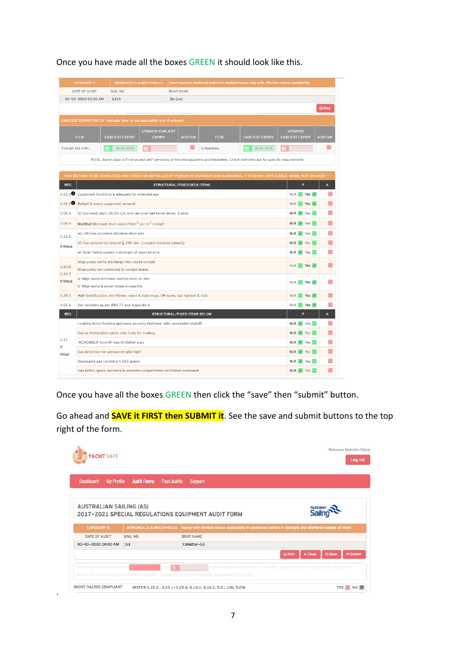|                     | <b>CATEGORY 7</b><br><b>MONOHULLS &amp; MULTIHULLS</b><br>Short races in sheltered waters in daylight hours only with effective rescue availability |                                                                                               |                                          |                              |                                                                                                                                             |                        |                                          |                |  |  |  |
|---------------------|-----------------------------------------------------------------------------------------------------------------------------------------------------|-----------------------------------------------------------------------------------------------|------------------------------------------|------------------------------|---------------------------------------------------------------------------------------------------------------------------------------------|------------------------|------------------------------------------|----------------|--|--|--|
|                     | DATE OF AUDIT                                                                                                                                       | SAIL NO.                                                                                      |                                          | <b>BOAT NAME</b>             |                                                                                                                                             |                        |                                          |                |  |  |  |
|                     | 00-00-0000 00:00 AM                                                                                                                                 | 1334                                                                                          |                                          | Be Cool                      |                                                                                                                                             |                        |                                          |                |  |  |  |
|                     |                                                                                                                                                     |                                                                                               |                                          |                              |                                                                                                                                             |                        |                                          | <b>A</b> Print |  |  |  |
|                     |                                                                                                                                                     | EARLIEST EXPIRY DATES - indicate 'hire' or not applicable 'n/a' if relevant                   |                                          |                              |                                                                                                                                             |                        |                                          |                |  |  |  |
|                     | <b>ITEM</b>                                                                                                                                         | <b>EARLIEST EXPIRY</b>                                                                        | <b>UPDATED EARLIEST</b><br><b>EXPIRY</b> | <b>AUDITOR</b>               | <b>ITEM</b>                                                                                                                                 | <b>EARLIEST EXPIRY</b> | <b>UPDATED</b><br><b>EARLIEST EXPIRY</b> | <b>AUDITOR</b> |  |  |  |
|                     | Lifejackets<br>Fire ext (12 mth.)<br>30-03-2018<br>28-02-2018<br>鹽<br>鯿<br>鰡                                                                        |                                                                                               |                                          |                              |                                                                                                                                             |                        |                                          |                |  |  |  |
|                     |                                                                                                                                                     |                                                                                               |                                          |                              | NOTE: Some clubs will not accept self-servicing of fire extinguishers and lifejackets. Check with the club for specific requirements        |                        |                                          |                |  |  |  |
|                     |                                                                                                                                                     |                                                                                               |                                          |                              |                                                                                                                                             |                        |                                          |                |  |  |  |
|                     |                                                                                                                                                     |                                                                                               |                                          |                              | THIS SECTION TO BE COMPLETED AND TICKED OR INITIALLED BY PERSON IN CHARGE(P) AND AUDITOR(A). IF ITEM NOT APPLICABLE, MARK 'N/A' OR DASH '-' |                        |                                          |                |  |  |  |
| <b>REG</b>          |                                                                                                                                                     |                                                                                               |                                          | STRUCTURAL/FIXED DECK ITEMS  |                                                                                                                                             |                        | Þ                                        | A              |  |  |  |
|                     | 2.03.1 Equipment functions & adequate for intended use                                                                                              | N/A<br>Yes $\vee$                                                                             |                                          |                              |                                                                                                                                             |                        |                                          |                |  |  |  |
| 2.03.2              | Ballast & heavy equipment secured                                                                                                                   | Yes $\overline{\mathbf{v}}$<br>N/A                                                            |                                          |                              |                                                                                                                                             |                        |                                          |                |  |  |  |
| 3.06.1              | (b) Enclosed cabin, 25.5m LH, and carrying fuel below decks, 2 exits                                                                                | $N/A \nightharpoonup$<br>Yes                                                                  |                                          |                              |                                                                                                                                             |                        |                                          |                |  |  |  |
| 3.08.8              |                                                                                                                                                     | Multihull Minimum drain sizes 20cm <sup>2</sup> per m <sup>3</sup> cockpit                    |                                          |                              |                                                                                                                                             |                        | $N/A \nightharpoonup$<br>Yes             |                |  |  |  |
| 3.12.6              |                                                                                                                                                     | (a) Lifelines uncoated stainless steel wire                                                   |                                          |                              |                                                                                                                                             |                        | $N/A$ $\checkmark$<br>Yes                |                |  |  |  |
| If fitted           |                                                                                                                                                     | (d) Gap secured by lanyard ≤ 100 mm; Lanyard replaced annually                                |                                          |                              |                                                                                                                                             |                        | $N/A$ $\vee$ Yes                         |                |  |  |  |
|                     |                                                                                                                                                     | (e) Total lifeline system ≥ strength of required wire                                         |                                          |                              |                                                                                                                                             |                        | $N/A \nightharpoonup$ Yes                |                |  |  |  |
| 3.20.6              |                                                                                                                                                     | Bilge pump not to discharge into closed cockpit<br>Bilge pump not connected to cockpit drains |                                          |                              |                                                                                                                                             |                        | N/A<br>Yes $\vee$                        |                |  |  |  |
| 3.20.7<br>If fitted |                                                                                                                                                     | a) Bilge pump minimum suction bore 25 mm                                                      |                                          |                              |                                                                                                                                             |                        | N/A<br>Yes $\vee$                        |                |  |  |  |
|                     |                                                                                                                                                     | b) Bilge pump & strum boxes accessible                                                        |                                          |                              |                                                                                                                                             |                        |                                          |                |  |  |  |
| 3.28.1              |                                                                                                                                                     | Hull Identification, min 50mm; name & state rego; OR name, sail number & club                 |                                          |                              |                                                                                                                                             |                        | Yes $\vee$<br>N/A                        |                |  |  |  |
| 4.01.1              |                                                                                                                                                     | Sail numbers as per RRS 77 and Appendix G                                                     |                                          |                              |                                                                                                                                             |                        | N/A<br>Yes $\vee$                        |                |  |  |  |
| <b>REG</b>          |                                                                                                                                                     |                                                                                               |                                          | STRUCTURAL/FIXED ITEMS BELOW |                                                                                                                                             |                        | P                                        |                |  |  |  |
|                     |                                                                                                                                                     | Cooking stove/heating appliance securely fastened, safe, accessible shutoff                   |                                          |                              |                                                                                                                                             |                        | $N/A$ $\checkmark$<br>Yes                |                |  |  |  |
| 3.17                |                                                                                                                                                     | Gas or methylated spirits only fuels for cooking                                              |                                          |                              |                                                                                                                                             |                        | $N/A \vee$<br>Yes                        |                |  |  |  |
| lf                  |                                                                                                                                                     | 'REMEMBER Turn Off Gas At Bottle' sign                                                        |                                          |                              |                                                                                                                                             |                        | $N/A \vee$<br>Yes                        |                |  |  |  |
| fitted              |                                                                                                                                                     | Gas detection for permanent pilot light                                                       |                                          |                              |                                                                                                                                             |                        | Yes <b>No. 1</b><br>$N/A \vee$           |                |  |  |  |
|                     |                                                                                                                                                     | Disposable gas canisters ≤ 225 grams                                                          |                                          |                              |                                                                                                                                             |                        | $N/A$ $\vee$ Yes                         |                |  |  |  |
|                     |                                                                                                                                                     | Gas bottle, spare canisters in separate compartment ventilated overboard                      |                                          |                              |                                                                                                                                             |                        | $N/A$ $\vee$ Yes                         |                |  |  |  |

Once you have made all the boxes GREEN it should look like this.

Once you have all the boxes GREEN then click the "save" then "submit" button.

Go ahead and **SAVE it FIRST then SUBMIT it**. See the save and submit buttons to the top right of the form.

| <b>Dashboard</b><br><b>My Profile</b> | <b>Audit Forms</b><br><b>Past Audits</b> | <b>Support</b>                                                                                       |  |
|---------------------------------------|------------------------------------------|------------------------------------------------------------------------------------------------------|--|
| <b>AUSTRALIAN SAILING (AS)</b>        |                                          | 2017-2021 SPECIAL REGULATIONS EQUIPMENT AUDIT FORM                                                   |  |
| <b>CATEGORY 5</b>                     | <b>MONOHULLS &amp; MULTIHULLS</b>        | Races with limited rescue availability in protected waters in daylight and sheltered waters at night |  |
| DATE OF AUDIT                         | SAIL NO.                                 | <b>BOAT NAME</b>                                                                                     |  |
| 00-00-0000 00:00 AM                   | G <sub>3</sub>                           | Celestial-G3                                                                                         |  |
|                                       |                                          |                                                                                                      |  |

.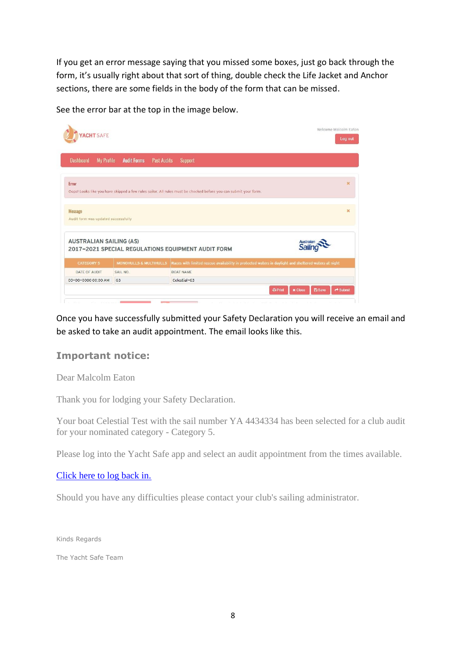If you get an error message saying that you missed some boxes, just go back through the form, it's usually right about that sort of thing, double check the Life Jacket and Anchor sections, there are some fields in the body of the form that can be missed.

See the error bar at the top in the image below.

| YACHT SAFE                                            |                                          |                                                                                                                  | Welcome Malcolm Eator<br>Log out                                           |
|-------------------------------------------------------|------------------------------------------|------------------------------------------------------------------------------------------------------------------|----------------------------------------------------------------------------|
| <b>Dashboard</b><br><b>My Profile</b>                 | <b>Audit Forms</b><br><b>Past Audits</b> | <b>Support</b>                                                                                                   |                                                                            |
| Error                                                 |                                          | Oops! Looks like you have skipped a few rules sailor. All rules must be checked before you can submit your form. | 文                                                                          |
| <b>Message</b><br>Audit form was updated successfully |                                          |                                                                                                                  | $\mathbf x$                                                                |
| <b>AUSTRALIAN SAILING (AS)</b>                        |                                          | 2017-2021 SPECIAL REGULATIONS EQUIPMENT AUDIT FORM                                                               | Australia                                                                  |
| <b>CATEGORY 5</b>                                     | <b>MONOHULLS &amp; MULTIHULLS</b>        | Races with limited rescue availability in protected waters in daylight and sheltered waters at night             |                                                                            |
| DATE OF AUDIT                                         | SAIL NO.                                 | <b>BOAT NAME</b>                                                                                                 |                                                                            |
| 00-00-0000 00:00 AM                                   | G <sub>3</sub>                           | Celestial-G3                                                                                                     |                                                                            |
|                                                       |                                          |                                                                                                                  | <b>图 Save</b><br>r <sup>→</sup> Submit<br><b>A</b> Print<br><b>x</b> Close |

Once you have successfully submitted your Safety Declaration you will receive an email and be asked to take an audit appointment. The email looks like this.

### **Important notice:**

Dear Malcolm Eaton

Thank you for lodging your Safety Declaration.

Your boat Celestial Test with the sail number YA 4434334 has been selected for a club audit for your nominated category - Category 5.

Please log into the Yacht Safe app and select an audit appointment from the times available.

### [Click here to log back in.](https://mandrillapp.com/track/click/30922599/app.yachtsafe.com.au?p=eyJzIjoiNW5QSVE0M1lYTTQxUmdnNnppdWhDZlBSSk84IiwidiI6MSwicCI6IntcInVcIjozMDkyMjU5OSxcInZcIjoxLFwidXJsXCI6XCJodHRwOlxcXC9cXFwvYXBwLnlhY2h0c2FmZS5jb20uYXVcIixcImlkXCI6XCJkMDNhNWFmNjBjM2U0NTQ1YTdlN2VkODJlNzE2ZjhhNFwiLFwidXJsX2lkc1wiOltcImNmYjg4NTI0ODIwN2ZlOTY3YzUyMzBlNmI1MGY4NzZlYzQ4Mjk3YzFcIl19In0)

Should you have any difficulties please contact your club's sailing administrator.

Kinds Regards

The Yacht Safe Team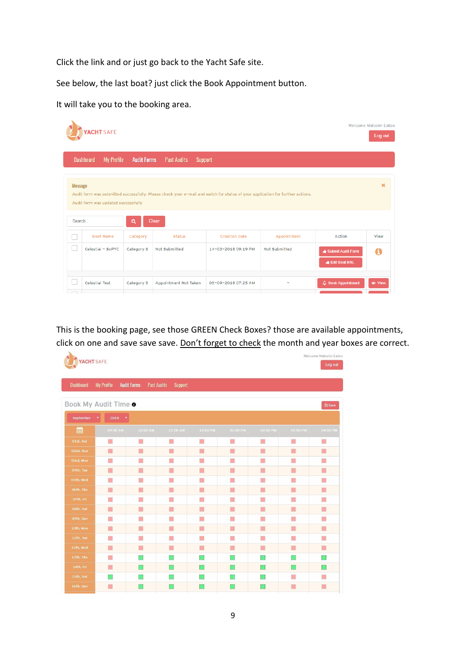Click the link and or just go back to the Yacht Safe site.

See below, the last boat? just click the Book Appointment button.

It will take you to the booking area.

|                          | <b>ACHT SAFE</b>                      |                    |                       |                      |                                                                                                                               |                                                | <b>Welcome Malcolm Eaton</b><br>Log out |
|--------------------------|---------------------------------------|--------------------|-----------------------|----------------------|-------------------------------------------------------------------------------------------------------------------------------|------------------------------------------------|-----------------------------------------|
|                          | <b>Dashboard</b><br><b>My Profile</b> | <b>Audit Forms</b> | <b>Past Audits</b>    | Support              |                                                                                                                               |                                                |                                         |
| <b>Message</b><br>Search | Audit form was updated successfully   | Q                  | <b>Clear</b>          |                      | Audit form was submitted successfully. Please check your e-mail and watch for status of your application for further actions. |                                                | $\mathbf x$                             |
|                          | <b>Boat Name</b>                      | Category           | <b>Status</b>         | <b>Creation Date</b> | Appointment                                                                                                                   | Action                                         | View                                    |
|                          | Celestial - SoPYC                     | Category 6         | Not Submitted         | 14-03-2018 09:19 PM  | Not Submitted                                                                                                                 | Submit Audit Form<br><b>de Edit Boat Info.</b> | A                                       |
|                          | <b>Celestial Test</b>                 | Category 5         | Appointment Not Taken | 05-09-2018 07:25 AM  |                                                                                                                               | $\Delta$ Book Appointment                      | ● View                                  |

This is the booking page, see those GREEN Check Boxes? those are available appointments, click on one and save save save. Don't forget to check the month and year boxes are correct.

| YACHT SAFE                    |                                         |                    |                |                |                |                |                | Welcome Malcolm Eaton<br>Log out |
|-------------------------------|-----------------------------------------|--------------------|----------------|----------------|----------------|----------------|----------------|----------------------------------|
| <b>Dashboard</b>              | <b>My Profile</b><br><b>Audit Forms</b> | <b>Past Audits</b> | <b>Support</b> |                |                |                |                |                                  |
| Book My Audit Time .          |                                         |                    |                |                |                |                |                | <b>凹 Save</b>                    |
| <b>September</b><br>$\bullet$ | 2018<br>$\pmb{\mathrm{v}}$              |                    |                |                |                |                |                |                                  |
| 曲                             | 09:00 AM                                | 10:00 AM           | 11:00 AM       | 12:00 PM       | 01:00 PM       | 02:00 PM       | 03:00 PM       | 04:00 PM                         |
| 01st, Sat                     | ×.                                      | L.                 | L.             | L.             | L.             | u.             | a.             | u,                               |
| 02nd, Sun                     | ×                                       | п                  | ٠              | ×              | a.             | ×              | ×              | ×                                |
| 03rd, Mon                     | ×                                       | ×                  | n.             | $\mathbb{R}^n$ | <b>CO</b>      | ×              | ×              | Ħ                                |
| 04th, Tue                     | п                                       | п                  | п              | п              | $\blacksquare$ | п              | п              | ×                                |
| 05th, Wed                     | п                                       | п                  | n i            | O              | ×              | <b>College</b> | ×              | ×                                |
| 06th, Thu                     | $\blacksquare$                          | <b>I</b>           | $\blacksquare$ | $\Box$         | <b>I</b>       | $\blacksquare$ | <b>I</b>       | $\Box$                           |
| 07th, Fri                     | u                                       | e.                 | e.             |                |                | L.             | ш              | L.                               |
| 08th, Sat                     | п                                       | п                  | $\blacksquare$ | $\Box$         |                | п              | $\blacksquare$ | $\Box$                           |
| 09th, Sun                     | L.                                      | L.                 | L.             | L.             | L.             | L.             | ۳              | L.                               |
| 10th, Mon                     | п                                       | ш                  | ×.             | ×              | <b>College</b> | п              | a.             | H                                |
| 11th, Tue                     | ×                                       | ×                  | B              | F              | n              | ×              | n              | n                                |
| 12th, Wed                     | П                                       | $\blacksquare$     | $\Box$         | $\Box$         | $\Box$         | $\blacksquare$ | ×              | $\Box$                           |
| 13th, Thu                     | ×                                       |                    |                |                |                |                |                |                                  |
| 14th, Fri                     | O                                       |                    |                |                |                |                |                |                                  |
| 15th, Sat                     |                                         |                    |                |                |                |                |                | H.                               |
| 16th, Sun                     | u                                       |                    |                |                |                |                | L.             | L.                               |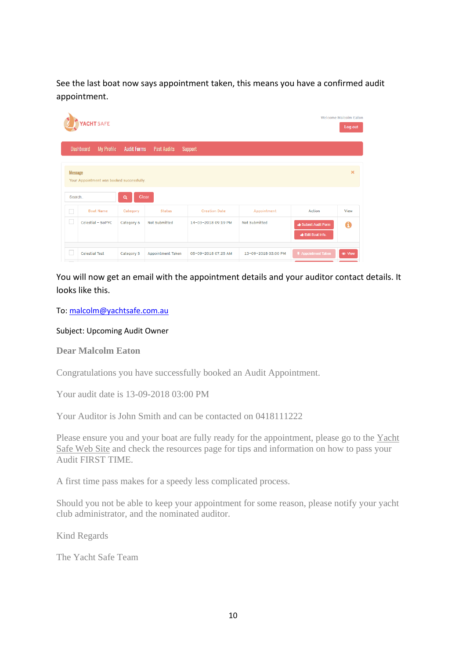See the last boat now says appointment taken, this means you have a confirmed audit appointment.

|                          | YACHT SAFE            |                                                         |                    |                      |                     |                                                | <b>Welcome Malcolm Eator</b><br>Log out |
|--------------------------|-----------------------|---------------------------------------------------------|--------------------|----------------------|---------------------|------------------------------------------------|-----------------------------------------|
| <b>Dashboard</b>         | <b>My Profile</b>     | <b>Audit Forms</b>                                      | <b>Past Audits</b> | <b>Support</b>       |                     |                                                |                                         |
| <b>Message</b><br>Search |                       | Your Appointment was booked successfully.<br>Clear<br>Q |                    |                      |                     |                                                | $\pmb{\times}$                          |
| <b>The State</b>         | <b>Boat Name</b>      | Category                                                | <b>Status</b>      | <b>Creation Date</b> | Appointment         | Action                                         | View                                    |
|                          | Celestial - SoPYC     | Category 6                                              | Not Submitted      | 14-03-2018 09:19 PM  | Not Submitted       | Submit Audit Form<br><b>de Edit Boat Info.</b> | A                                       |
|                          | <b>Celestial Test</b> | Category 5                                              | Appointment Taken  | 05-09-2018 07:25 AM  | 13-09-2018 03:00 PM | 平 Appointment Taken                            | ● View                                  |

You will now get an email with the appointment details and your auditor contact details. It looks like this.

### To[: malcolm@yachtsafe.com.au](mailto:malcolm@yachtsafe.com.au)

#### Subject: Upcoming Audit Owner

**Dear Malcolm Eaton**

Congratulations you have successfully booked an Audit Appointment.

Your audit date is 13-09-2018 03:00 PM

Your Auditor is John Smith and can be contacted on 0418111222

Please ensure you and your boat are fully ready for the appointment, please go to the Yacht [Safe Web Site](https://mandrillapp.com/track/click/30922599/www.yachtsafe.com.au?p=eyJzIjoiMzdkalpiUG8ybWotNm1hbkdGTUZhNzFIVUJvIiwidiI6MSwicCI6IntcInVcIjozMDkyMjU5OSxcInZcIjoxLFwidXJsXCI6XCJodHRwOlxcXC9cXFwvd3d3LnlhY2h0c2FmZS5jb20uYXVcIixcImlkXCI6XCI2NmEyZWI2MGMyYjI0MjZmYjVhZTU3NjAzNWIzZjFhNFwiLFwidXJsX2lkc1wiOltcImIxZDY3YTU0OTJlYjQ4NTlkN2ZiZmUyYjQ1ZGRiNzA3MzNlODNmMTVcIl19In0) and check the resources page for tips and information on how to pass your Audit FIRST TIME.

A first time pass makes for a speedy less complicated process.

Should you not be able to keep your appointment for some reason, please notify your yacht club administrator, and the nominated auditor.

Kind Regards

The Yacht Safe Team